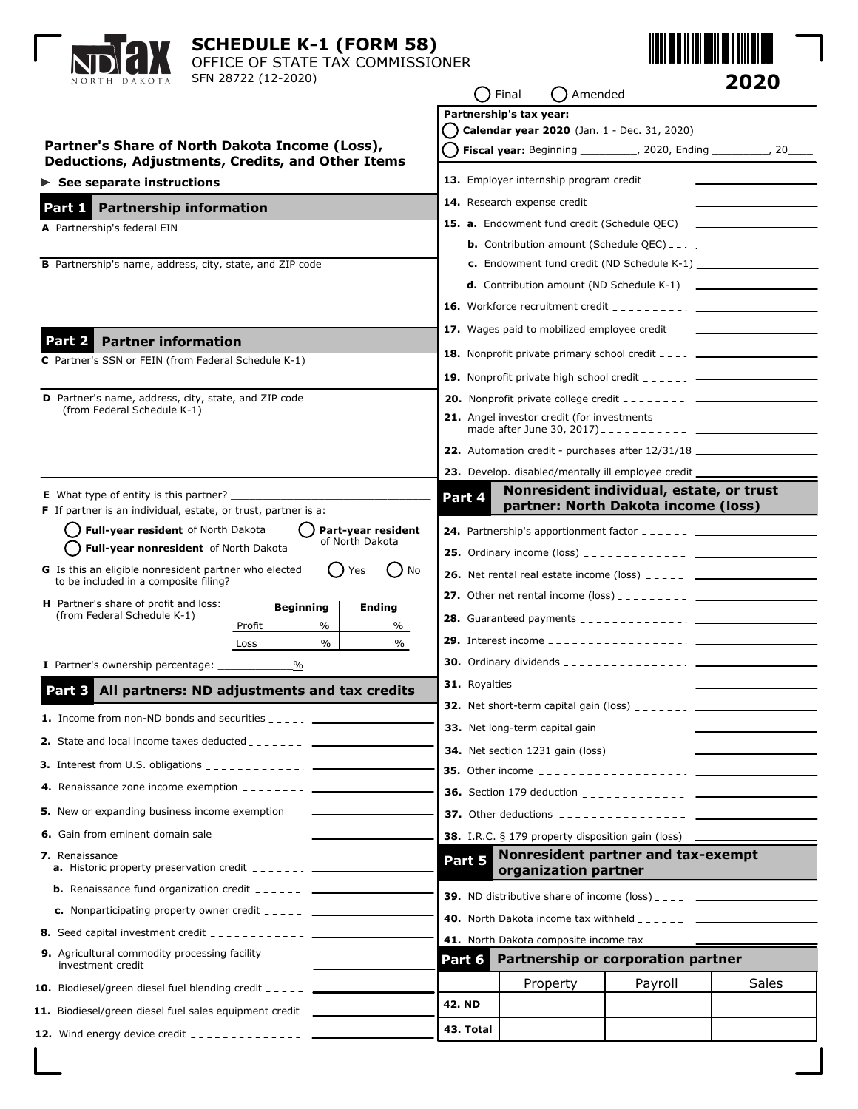| <b>SCHEDULE K-1 (FORM 58)</b><br>OFFICE OF STATE TAX COMMISSIONER<br>SFN 28722 (12-2020)<br>NORTH DAKOTA<br>【 】 Final                                                                                 |                                                          |                                                                        | 2020<br>() Amended                                                                                                                                                                                                                                                                                                                                                                                                                                                           |       |
|-------------------------------------------------------------------------------------------------------------------------------------------------------------------------------------------------------|----------------------------------------------------------|------------------------------------------------------------------------|------------------------------------------------------------------------------------------------------------------------------------------------------------------------------------------------------------------------------------------------------------------------------------------------------------------------------------------------------------------------------------------------------------------------------------------------------------------------------|-------|
| Partner's Share of North Dakota Income (Loss),<br>Deductions, Adjustments, Credits, and Other Items                                                                                                   |                                                          | Partnership's tax year:<br>Calendar year 2020 (Jan. 1 - Dec. 31, 2020) | Fiscal year: Beginning __________, 2020, Ending _________, 20____                                                                                                                                                                                                                                                                                                                                                                                                            |       |
| $\triangleright$ See separate instructions                                                                                                                                                            |                                                          |                                                                        | 13. Employer internship program credit $-- ---$                                                                                                                                                                                                                                                                                                                                                                                                                              |       |
| Part 1 Partnership information                                                                                                                                                                        |                                                          |                                                                        |                                                                                                                                                                                                                                                                                                                                                                                                                                                                              |       |
| A Partnership's federal EIN<br><b>B</b> Partnership's name, address, city, state, and ZIP code                                                                                                        |                                                          |                                                                        | <b>15. a.</b> Endowment fund credit (Schedule QEC) ___________________________________<br><b>d.</b> Contribution amount (ND Schedule K-1) $\qquad \qquad$<br><b>16.</b> Workforce recruitment credit $\frac{1}{2}$ $\frac{1}{2}$ $\frac{1}{2}$ $\frac{1}{2}$ $\frac{1}{2}$ $\frac{1}{2}$ $\frac{1}{2}$ $\frac{1}{2}$ $\frac{1}{2}$ $\frac{1}{2}$ $\frac{1}{2}$ $\frac{1}{2}$ $\frac{1}{2}$ $\frac{1}{2}$ $\frac{1}{2}$ $\frac{1}{2}$ $\frac{1}{2}$ $\frac{1}{2}$ $\frac{1}{$ |       |
|                                                                                                                                                                                                       |                                                          |                                                                        | <b>17.</b> Wages paid to mobilized employee credit $\overline{a}$ _________________________                                                                                                                                                                                                                                                                                                                                                                                  |       |
| <b>Partner information</b><br>Part 2 I<br>C Partner's SSN or FEIN (from Federal Schedule K-1)                                                                                                         |                                                          |                                                                        | <b>18.</b> Nonprofit private primary school credit $\frac{1}{2}$ $\frac{1}{2}$                                                                                                                                                                                                                                                                                                                                                                                               |       |
|                                                                                                                                                                                                       |                                                          |                                                                        | <b>19.</b> Nonprofit private high school credit $\frac{1}{2}$ $\frac{1}{2}$ $\frac{1}{2}$ $\frac{1}{2}$ $\frac{1}{2}$ $\frac{1}{2}$                                                                                                                                                                                                                                                                                                                                          |       |
| D Partner's name, address, city, state, and ZIP code<br>(from Federal Schedule K-1)                                                                                                                   |                                                          | 21. Angel investor credit (for investments                             | <b>20.</b> Nonprofit private college credit $- - - - - - - - - -$                                                                                                                                                                                                                                                                                                                                                                                                            |       |
|                                                                                                                                                                                                       |                                                          |                                                                        | 22. Automation credit - purchases after 12/31/18 _______________________________                                                                                                                                                                                                                                                                                                                                                                                             |       |
|                                                                                                                                                                                                       |                                                          |                                                                        | 23. Develop. disabled/mentally ill employee credit ___________                                                                                                                                                                                                                                                                                                                                                                                                               |       |
| <b>E</b> What type of entity is this partner?<br><b>F</b> If partner is an individual, estate, or trust, partner is a:<br>Full-year resident of North Dakota<br>Part-year resident<br>of North Dakota | Part 4                                                   |                                                                        | Nonresident individual, estate, or trust<br>partner: North Dakota income (loss)<br><b>24.</b> Partnership's apportionment factor $-- ---$                                                                                                                                                                                                                                                                                                                                    |       |
| Full-year nonresident of North Dakota<br>G Is this an eligible nonresident partner who elected<br>No<br>Yes<br>to be included in a composite filing?                                                  |                                                          |                                                                        | <b>26.</b> Net rental real estate income (loss) $\frac{1}{2}$ $\frac{1}{2}$ $\frac{1}{2}$ $\frac{1}{2}$                                                                                                                                                                                                                                                                                                                                                                      |       |
| H Partner's share of profit and loss:<br><b>Beginning</b><br><b>Ending</b><br>(from Federal Schedule K-1)<br>$\%$<br>Profit<br>%<br>$\%$<br>$\%$<br>Loss<br>$\%$                                      |                                                          |                                                                        |                                                                                                                                                                                                                                                                                                                                                                                                                                                                              |       |
| I Partner's ownership percentage:                                                                                                                                                                     |                                                          |                                                                        |                                                                                                                                                                                                                                                                                                                                                                                                                                                                              |       |
| Part 3 All partners: ND adjustments and tax credits                                                                                                                                                   |                                                          |                                                                        |                                                                                                                                                                                                                                                                                                                                                                                                                                                                              |       |
| <b>1.</b> Income from non-ND bonds and securities $\frac{1}{2}$ , $\frac{1}{2}$                                                                                                                       |                                                          |                                                                        |                                                                                                                                                                                                                                                                                                                                                                                                                                                                              |       |
| <b>2.</b> State and local income taxes deducted $\frac{1}{2}$ = $\frac{1}{2}$ = $\frac{1}{2}$ = $\frac{1}{2}$                                                                                         |                                                          |                                                                        |                                                                                                                                                                                                                                                                                                                                                                                                                                                                              |       |
| <b>3.</b> Interest from U.S. obligations $\frac{1}{2}$                                                                                                                                                |                                                          |                                                                        |                                                                                                                                                                                                                                                                                                                                                                                                                                                                              |       |
|                                                                                                                                                                                                       |                                                          |                                                                        |                                                                                                                                                                                                                                                                                                                                                                                                                                                                              |       |
| <b>5.</b> New or expanding business income exemption _________________________________                                                                                                                |                                                          |                                                                        | <b>37.</b> Other deductions $\frac{1}{2}$ = $\frac{1}{2}$ = $\frac{1}{2}$ = $\frac{1}{2}$ = $\frac{1}{2}$ = $\frac{1}{2}$ = $\frac{1}{2}$ = $\frac{1}{2}$ = $\frac{1}{2}$ = $\frac{1}{2}$ = $\frac{1}{2}$ = $\frac{1}{2}$ = $\frac{1}{2}$ = $\frac{1}{2}$ = $\frac{1}{2}$ = $\frac{1}{2}$ = $\frac{1}{$                                                                                                                                                                      |       |
| <b>6.</b> Gain from eminent domain sale $\frac{1}{2}$ = $\frac{1}{2}$ = $\frac{1}{2}$ = $\frac{1}{2}$ = $\frac{1}{2}$ = $\frac{1}{2}$                                                                 | <b>38.</b> I.R.C. § 179 property disposition gain (loss) |                                                                        |                                                                                                                                                                                                                                                                                                                                                                                                                                                                              |       |
| 7. Renaissance<br><b>a.</b> Historic property preservation credit $\frac{1}{2}$ $\frac{1}{2}$ $\frac{1}{2}$ $\frac{1}{2}$ $\frac{1}{2}$                                                               | Part 5                                                   | organization partner                                                   | Nonresident partner and tax-exempt                                                                                                                                                                                                                                                                                                                                                                                                                                           |       |
| <b>b.</b> Renaissance fund organization credit $\frac{1}{2}$ = $\frac{1}{2}$ = $\frac{1}{2}$ = $\frac{1}{2}$                                                                                          |                                                          |                                                                        |                                                                                                                                                                                                                                                                                                                                                                                                                                                                              |       |
| <b>c.</b> Nonparticipating property owner credit $2 - 2 - 2$                                                                                                                                          |                                                          |                                                                        | <b>40.</b> North Dakota income tax withheld $\frac{1}{2}$ $\frac{1}{2}$ $\frac{1}{2}$ $\frac{1}{2}$ $\frac{1}{2}$                                                                                                                                                                                                                                                                                                                                                            |       |
| <b>8.</b> Seed capital investment credit $\frac{1}{2}$                                                                                                                                                | 41. North Dakota composite income tax _____ ____         |                                                                        |                                                                                                                                                                                                                                                                                                                                                                                                                                                                              |       |
| 9. Agricultural commodity processing facility                                                                                                                                                         | Part 6                                                   |                                                                        | Partnership or corporation partner                                                                                                                                                                                                                                                                                                                                                                                                                                           |       |
| <b>10.</b> Biodiesel/green diesel fuel blending credit $---$                                                                                                                                          |                                                          | Property                                                               | Payroll                                                                                                                                                                                                                                                                                                                                                                                                                                                                      | Sales |
| 11. Biodiesel/green diesel fuel sales equipment credit _______                                                                                                                                        | <b>42. ND</b>                                            |                                                                        |                                                                                                                                                                                                                                                                                                                                                                                                                                                                              |       |
|                                                                                                                                                                                                       | 43. Total                                                |                                                                        |                                                                                                                                                                                                                                                                                                                                                                                                                                                                              |       |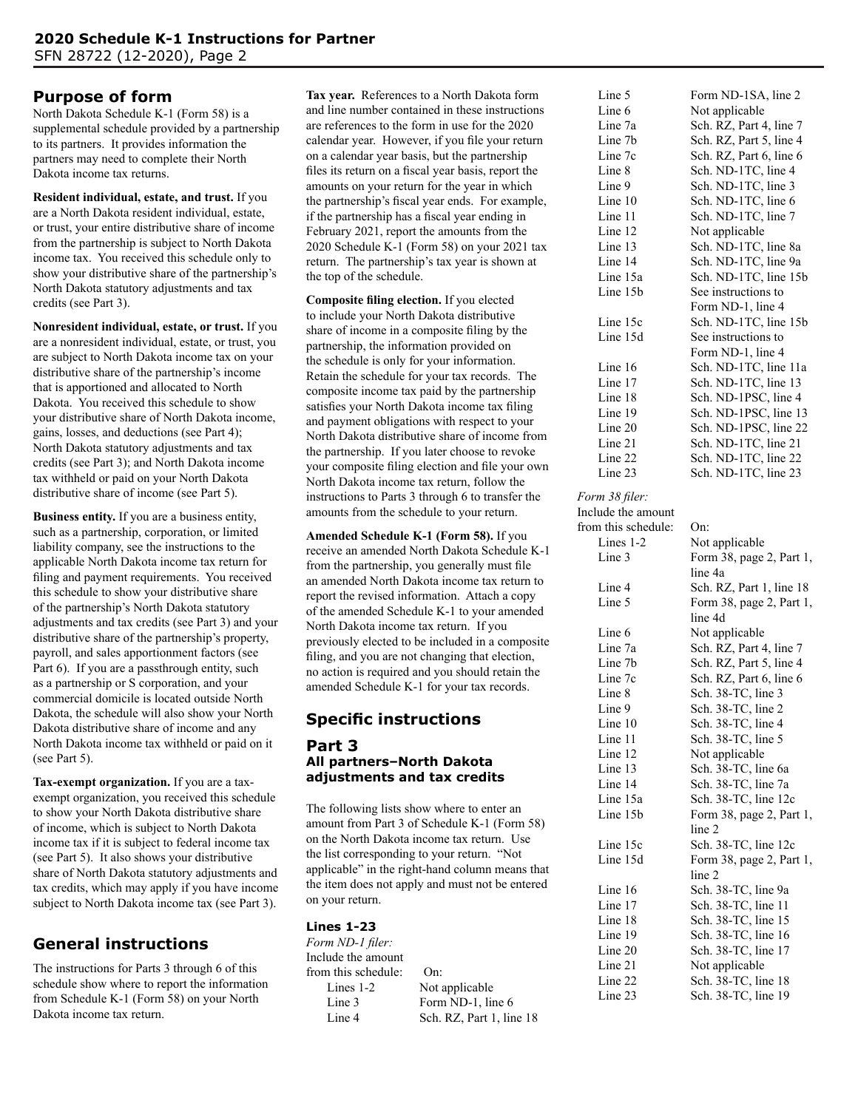# **Purpose of form**

North Dakota Schedule K-1 (Form 58) is a supplemental schedule provided by a partnership to its partners. It provides information the partners may need to complete their North Dakota income tax returns.

**Resident individual, estate, and trust.** If you are a North Dakota resident individual, estate, or trust, your entire distributive share of income from the partnership is subject to North Dakota income tax. You received this schedule only to show your distributive share of the partnership's North Dakota statutory adjustments and tax credits (see Part 3).

**Nonresident individual, estate, or trust.** If you are a nonresident individual, estate, or trust, you are subject to North Dakota income tax on your distributive share of the partnership's income that is apportioned and allocated to North Dakota. You received this schedule to show your distributive share of North Dakota income, gains, losses, and deductions (see Part 4); North Dakota statutory adjustments and tax credits (see Part 3); and North Dakota income tax withheld or paid on your North Dakota distributive share of income (see Part 5).

**Business entity.** If you are a business entity, such as a partnership, corporation, or limited liability company, see the instructions to the applicable North Dakota income tax return for filing and payment requirements. You received this schedule to show your distributive share of the partnership's North Dakota statutory adjustments and tax credits (see Part 3) and your distributive share of the partnership's property, payroll, and sales apportionment factors (see Part 6). If you are a passthrough entity, such as a partnership or S corporation, and your commercial domicile is located outside North Dakota, the schedule will also show your North Dakota distributive share of income and any North Dakota income tax withheld or paid on it (see Part 5).

**Tax-exempt organization.** If you are a taxexempt organization, you received this schedule to show your North Dakota distributive share of income, which is subject to North Dakota income tax if it is subject to federal income tax (see Part 5). It also shows your distributive share of North Dakota statutory adjustments and tax credits, which may apply if you have income subject to North Dakota income tax (see Part 3).

# **General instructions**

The instructions for Parts 3 through 6 of this schedule show where to report the information from Schedule K-1 (Form 58) on your North Dakota income tax return.

**Tax year.** References to a North Dakota form and line number contained in these instructions are references to the form in use for the 2020 calendar year. However, if you file your return on a calendar year basis, but the partnership files its return on a fiscal year basis, report the amounts on your return for the year in which the partnership's fiscal year ends. For example, if the partnership has a fiscal year ending in February 2021, report the amounts from the 2020 Schedule K-1 (Form 58) on your 2021 tax return. The partnership's tax year is shown at the top of the schedule.

**Composite filing election.** If you elected to include your North Dakota distributive share of income in a composite filing by the partnership, the information provided on the schedule is only for your information. Retain the schedule for your tax records. The composite income tax paid by the partnership satisfies your North Dakota income tax filing and payment obligations with respect to your North Dakota distributive share of income from the partnership. If you later choose to revoke your composite filing election and file your own North Dakota income tax return, follow the instructions to Parts 3 through 6 to transfer the amounts from the schedule to your return.

**Amended Schedule K-1 (Form 58).** If you receive an amended North Dakota Schedule K-1 from the partnership, you generally must file an amended North Dakota income tax return to report the revised information. Attach a copy of the amended Schedule K-1 to your amended North Dakota income tax return. If you previously elected to be included in a composite filing, and you are not changing that election, no action is required and you should retain the amended Schedule K-1 for your tax records.

# **Specific instructions**

### **Part 3 All partners–North Dakota adjustments and tax credits**

The following lists show where to enter an amount from Part 3 of Schedule K-1 (Form 58) on the North Dakota income tax return. Use the list corresponding to your return. "Not applicable" in the right-hand column means that the item does not apply and must not be entered on your return.

# **Lines 1-23**

*Form ND-1 filer:* Include the amount from this schedule: On: Lines 1-2 Not applicable Line 3 Form ND-1, line 6

Line 4 Sch. RZ, Part 1, line 18

| Line 5   | Form ND-1SA, line 2     |
|----------|-------------------------|
| Line 6   | Not applicable          |
| Line 7a  | Sch. RZ, Part 4, line 7 |
| Line 7b  | Sch. RZ, Part 5, line 4 |
| Line 7c  | Sch. RZ, Part 6, line 6 |
| Line 8   | Sch. ND-1TC, line 4     |
| Line 9   | Sch. ND-1TC, line 3     |
| Line 10  | Sch. ND-1TC, line 6     |
| Line 11  | Sch. ND-1TC, line 7     |
| Line 12  | Not applicable          |
| Line 13  | Sch. ND-1TC, line 8a    |
| Line 14  | Sch. ND-1TC, line 9a    |
| Line 15a | Sch. ND-1TC, line 15b   |
| Line 15b | See instructions to     |
|          | Form ND-1, line 4       |
| Line 15c | Sch. ND-1TC, line 15b   |
| Line 15d | See instructions to     |
|          | Form ND-1, line 4       |
| Line 16  | Sch. ND-1TC, line 11a   |
| Line 17  | Sch. ND-1TC, line 13    |
| Line 18  | Sch. ND-1PSC, line 4    |
| Line 19  | Sch. ND-1PSC, line 13   |
| Line 20  | Sch. ND-1PSC, line 22   |
| Line 21  | Sch. ND-1TC, line 21    |
| Line 22  | Sch. ND-1TC, line 22    |
| Line 23  | Sch. ND-1TC, line 23    |
|          |                         |

#### *Form 38 filer:*

Include the amount from this schedule: On: Lines 1-2 Not applicable Line 3 Form 38, page 2, Part 1, line 4a Line 4 Sch. RZ, Part 1, line 18 Line 5 Form 38, page 2, Part 1, line 4d Line 6 Not applicable Line 7a Sch. RZ, Part 4, line 7 Line 7b Sch. RZ, Part 5, line 4 Line 7c Sch. RZ, Part 6, line 6 Line 8 Sch. 38-TC, line 3 Line 9 Sch. 38-TC, line 2 Line 10 Sch. 38-TC, line 4 Line 11 Sch. 38-TC, line 5 Line 12 Not applicable Line 13<br>
Line 14<br>
Sch. 38-TC, line 7a<br>
Sch. 38-TC, line 7a Sch. 38-TC, line 7a Line 15a Sch. 38-TC, line 12c Line 15b Form 38, page 2, Part 1, line 2 Line 15c Sch. 38-TC, line 12c Line 15d Form 38, page 2, Part 1, line 2 Line 16 Sch. 38-TC, line 9a Line 17 Sch. 38-TC, line 11 Line 18 Sch. 38-TC, line 15 Line 19 Sch. 38-TC, line 16 Line 20 Sch. 38-TC, line 17 Line 21 Not applicable Line 22 Sch. 38-TC, line 18 Line 23 Sch. 38-TC, line 19